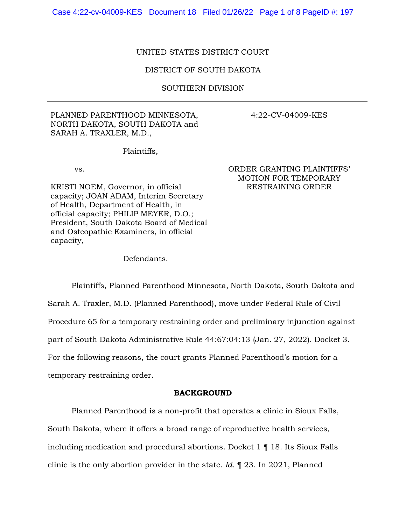# UNITED STATES DISTRICT COURT

# DISTRICT OF SOUTH DAKOTA

### SOUTHERN DIVISION

| PLANNED PARENTHOOD MINNESOTA,<br>NORTH DAKOTA, SOUTH DAKOTA and<br>SARAH A. TRAXLER, M.D.,                                                                                                                                                                              | 4:22-CV-04009-KES                                                       |
|-------------------------------------------------------------------------------------------------------------------------------------------------------------------------------------------------------------------------------------------------------------------------|-------------------------------------------------------------------------|
| Plaintiffs,                                                                                                                                                                                                                                                             |                                                                         |
| VS.<br>KRISTI NOEM, Governor, in official<br>capacity; JOAN ADAM, Interim Secretary<br>of Health, Department of Health, in<br>official capacity; PHILIP MEYER, D.O.;<br>President, South Dakota Board of Medical<br>and Osteopathic Examiners, in official<br>capacity, | ORDER GRANTING PLAINTIFFS'<br>MOTION FOR TEMPORARY<br>RESTRAINING ORDER |
| Defendants.                                                                                                                                                                                                                                                             |                                                                         |

Plaintiffs, Planned Parenthood Minnesota, North Dakota, South Dakota and Sarah A. Traxler, M.D. (Planned Parenthood), move under Federal Rule of Civil Procedure 65 for a temporary restraining order and preliminary injunction against part of South Dakota Administrative Rule 44:67:04:13 (Jan. 27, 2022). Docket 3. For the following reasons, the court grants Planned Parenthood's motion for a temporary restraining order.

### **BACKGROUND**

Planned Parenthood is a non-profit that operates a clinic in Sioux Falls, South Dakota, where it offers a broad range of reproductive health services, including medication and procedural abortions. Docket 1 ¶ 18. Its Sioux Falls clinic is the only abortion provider in the state. *Id.* ¶ 23. In 2021, Planned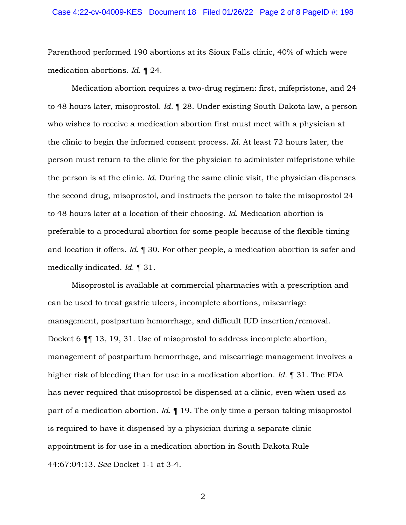Parenthood performed 190 abortions at its Sioux Falls clinic, 40% of which were medication abortions. *Id.* ¶ 24.

Medication abortion requires a two-drug regimen: first, mifepristone, and 24 to 48 hours later, misoprostol. *Id.* ¶ 28. Under existing South Dakota law, a person who wishes to receive a medication abortion first must meet with a physician at the clinic to begin the informed consent process. *Id.* At least 72 hours later, the person must return to the clinic for the physician to administer mifepristone while the person is at the clinic. *Id.* During the same clinic visit, the physician dispenses the second drug, misoprostol, and instructs the person to take the misoprostol 24 to 48 hours later at a location of their choosing. *Id.* Medication abortion is preferable to a procedural abortion for some people because of the flexible timing and location it offers. *Id.* ¶ 30. For other people, a medication abortion is safer and medically indicated. *Id.* ¶ 31.

Misoprostol is available at commercial pharmacies with a prescription and can be used to treat gastric ulcers, incomplete abortions, miscarriage management, postpartum hemorrhage, and difficult IUD insertion/removal. Docket 6 ¶¶ 13, 19, 31. Use of misoprostol to address incomplete abortion, management of postpartum hemorrhage, and miscarriage management involves a higher risk of bleeding than for use in a medication abortion. *Id.* ¶ 31. The FDA has never required that misoprostol be dispensed at a clinic, even when used as part of a medication abortion. *Id.* ¶ 19. The only time a person taking misoprostol is required to have it dispensed by a physician during a separate clinic appointment is for use in a medication abortion in South Dakota Rule 44:67:04:13. *See* Docket 1-1 at 3-4.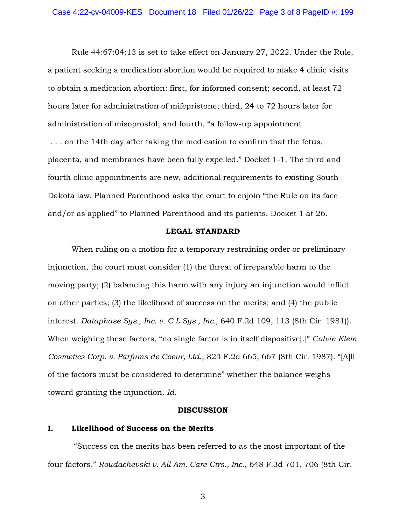Rule 44:67:04:13 is set to take effect on January 27, 2022. Under the Rule, a patient seeking a medication abortion would be required to make 4 clinic visits to obtain a medication abortion: first, for informed consent; second, at least 72 hours later for administration of mifepristone; third, 24 to 72 hours later for administration of misoprostol; and fourth, "a follow-up appointment . . . on the 14th day after taking the medication to confirm that the fetus, placenta, and membranes have been fully expelled." Docket 1-1. The third and fourth clinic appointments are new, additional requirements to existing South Dakota law. Planned Parenthood asks the court to enjoin "the Rule on its face and/or as applied" to Planned Parenthood and its patients. Docket 1 at 26.

## **LEGAL STANDARD**

When ruling on a motion for a temporary restraining order or preliminary injunction, the court must consider (1) the threat of irreparable harm to the moving party; (2) balancing this harm with any injury an injunction would inflict on other parties; (3) the likelihood of success on the merits; and (4) the public interest. *Dataphase Sys., Inc. v. C L Sys., Inc.*, 640 F.2d 109, 113 (8th Cir. 1981)). When weighing these factors, "no single factor is in itself dispositive[.]" *Calvin Klein Cosmetics Corp. v. Parfums de Coeur, Ltd.*, 824 F.2d 665, 667 (8th Cir. 1987). "[A]ll of the factors must be considered to determine" whether the balance weighs toward granting the injunction. *Id.*

### **DISCUSSION**

# **I. Likelihood of Success on the Merits**

"Success on the merits has been referred to as the most important of the four factors." *Roudachevski v. All-Am. Care Ctrs., Inc.*, 648 F.3d 701, 706 (8th Cir.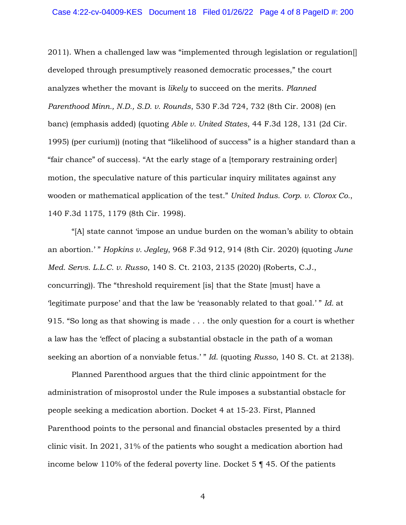2011). When a challenged law was "implemented through legislation or regulation[] developed through presumptively reasoned democratic processes," the court analyzes whether the movant is *likely* to succeed on the merits. *Planned Parenthood Minn., N.D., S.D. v. Rounds*, 530 F.3d 724, 732 (8th Cir. 2008) (en banc) (emphasis added) (quoting *Able v. United States*, 44 F.3d 128, 131 (2d Cir. 1995) (per curium)) (noting that "likelihood of success" is a higher standard than a "fair chance" of success). "At the early stage of a [temporary restraining order] motion, the speculative nature of this particular inquiry militates against any wooden or mathematical application of the test." *United Indus. Corp. v. Clorox Co.*, 140 F.3d 1175, 1179 (8th Cir. 1998).

"[A] state cannot 'impose an undue burden on the woman's ability to obtain an abortion.' " *Hopkins v. Jegley*, 968 F.3d 912, 914 (8th Cir. 2020) (quoting *June Med. Servs. L.L.C. v. Russo*, 140 S. Ct. 2103, 2135 (2020) (Roberts, C.J., concurring)). The "threshold requirement [is] that the State [must] have a 'legitimate purpose' and that the law be 'reasonably related to that goal.' " *Id.* at 915. "So long as that showing is made . . . the only question for a court is whether a law has the 'effect of placing a substantial obstacle in the path of a woman seeking an abortion of a nonviable fetus.' " *Id.* (quoting *Russo*, 140 S. Ct. at 2138).

Planned Parenthood argues that the third clinic appointment for the administration of misoprostol under the Rule imposes a substantial obstacle for people seeking a medication abortion. Docket 4 at 15-23. First, Planned Parenthood points to the personal and financial obstacles presented by a third clinic visit. In 2021, 31% of the patients who sought a medication abortion had income below 110% of the federal poverty line. Docket 5 ¶ 45. Of the patients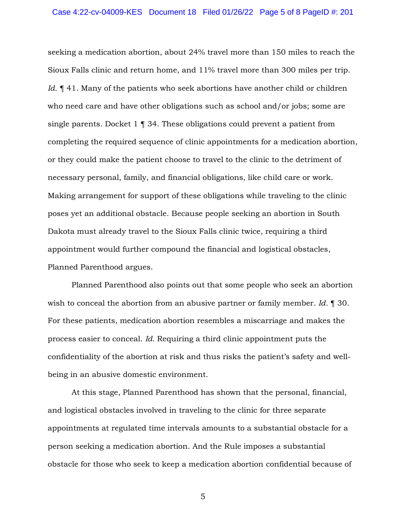seeking a medication abortion, about 24% travel more than 150 miles to reach the Sioux Falls clinic and return home, and 11% travel more than 300 miles per trip. *Id.*  $\P$  41. Many of the patients who seek abortions have another child or children who need care and have other obligations such as school and/or jobs; some are single parents. Docket 1 ¶ 34. These obligations could prevent a patient from completing the required sequence of clinic appointments for a medication abortion, or they could make the patient choose to travel to the clinic to the detriment of necessary personal, family, and financial obligations, like child care or work. Making arrangement for support of these obligations while traveling to the clinic poses yet an additional obstacle. Because people seeking an abortion in South Dakota must already travel to the Sioux Falls clinic twice, requiring a third appointment would further compound the financial and logistical obstacles, Planned Parenthood argues.

Planned Parenthood also points out that some people who seek an abortion wish to conceal the abortion from an abusive partner or family member. *Id.* ¶ 30. For these patients, medication abortion resembles a miscarriage and makes the process easier to conceal. *Id.* Requiring a third clinic appointment puts the confidentiality of the abortion at risk and thus risks the patient's safety and wellbeing in an abusive domestic environment.

At this stage, Planned Parenthood has shown that the personal, financial, and logistical obstacles involved in traveling to the clinic for three separate appointments at regulated time intervals amounts to a substantial obstacle for a person seeking a medication abortion. And the Rule imposes a substantial obstacle for those who seek to keep a medication abortion confidential because of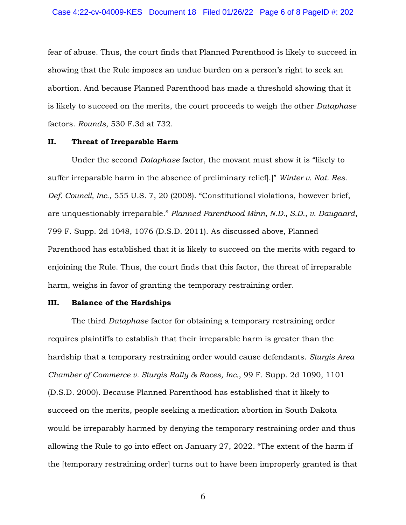fear of abuse. Thus, the court finds that Planned Parenthood is likely to succeed in showing that the Rule imposes an undue burden on a person's right to seek an abortion. And because Planned Parenthood has made a threshold showing that it is likely to succeed on the merits, the court proceeds to weigh the other *Dataphase* factors. *Rounds*, 530 F.3d at 732.

## **II. Threat of Irreparable Harm**

Under the second *Dataphase* factor, the movant must show it is "likely to suffer irreparable harm in the absence of preliminary relief[.]" *Winter v. Nat. Res. Def. Council, Inc.*, 555 U.S. 7, 20 (2008). "Constitutional violations, however brief, are unquestionably irreparable." *Planned Parenthood Minn, N.D., S.D., v. Daugaard*, 799 F. Supp. 2d 1048, 1076 (D.S.D. 2011). As discussed above, Planned Parenthood has established that it is likely to succeed on the merits with regard to enjoining the Rule. Thus, the court finds that this factor, the threat of irreparable harm, weighs in favor of granting the temporary restraining order.

# **III. Balance of the Hardships**

The third *Dataphase* factor for obtaining a temporary restraining order requires plaintiffs to establish that their irreparable harm is greater than the hardship that a temporary restraining order would cause defendants. *Sturgis Area Chamber of Commerce v. Sturgis Rally & Races, Inc.*, 99 F. Supp. 2d 1090, 1101 (D.S.D. 2000). Because Planned Parenthood has established that it likely to succeed on the merits, people seeking a medication abortion in South Dakota would be irreparably harmed by denying the temporary restraining order and thus allowing the Rule to go into effect on January 27, 2022. "The extent of the harm if the [temporary restraining order] turns out to have been improperly granted is that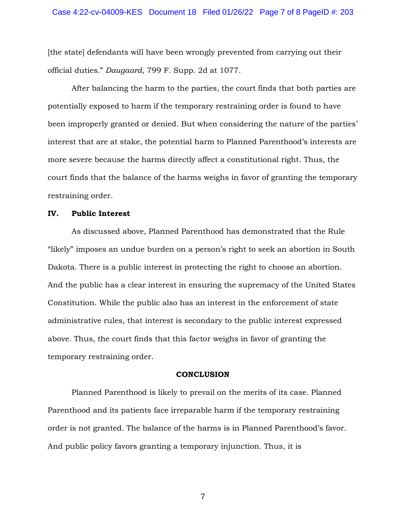[the state] defendants will have been wrongly prevented from carrying out their official duties." *Daugaard*, 799 F. Supp. 2d at 1077.

After balancing the harm to the parties, the court finds that both parties are potentially exposed to harm if the temporary restraining order is found to have been improperly granted or denied. But when considering the nature of the parties' interest that are at stake, the potential harm to Planned Parenthood's interests are more severe because the harms directly affect a constitutional right. Thus, the court finds that the balance of the harms weighs in favor of granting the temporary restraining order.

## **IV. Public Interest**

As discussed above, Planned Parenthood has demonstrated that the Rule "likely" imposes an undue burden on a person's right to seek an abortion in South Dakota. There is a public interest in protecting the right to choose an abortion. And the public has a clear interest in ensuring the supremacy of the United States Constitution. While the public also has an interest in the enforcement of state administrative rules, that interest is secondary to the public interest expressed above. Thus, the court finds that this factor weighs in favor of granting the temporary restraining order.

### **CONCLUSION**

Planned Parenthood is likely to prevail on the merits of its case. Planned Parenthood and its patients face irreparable harm if the temporary restraining order is not granted. The balance of the harms is in Planned Parenthood's favor. And public policy favors granting a temporary injunction. Thus, it is